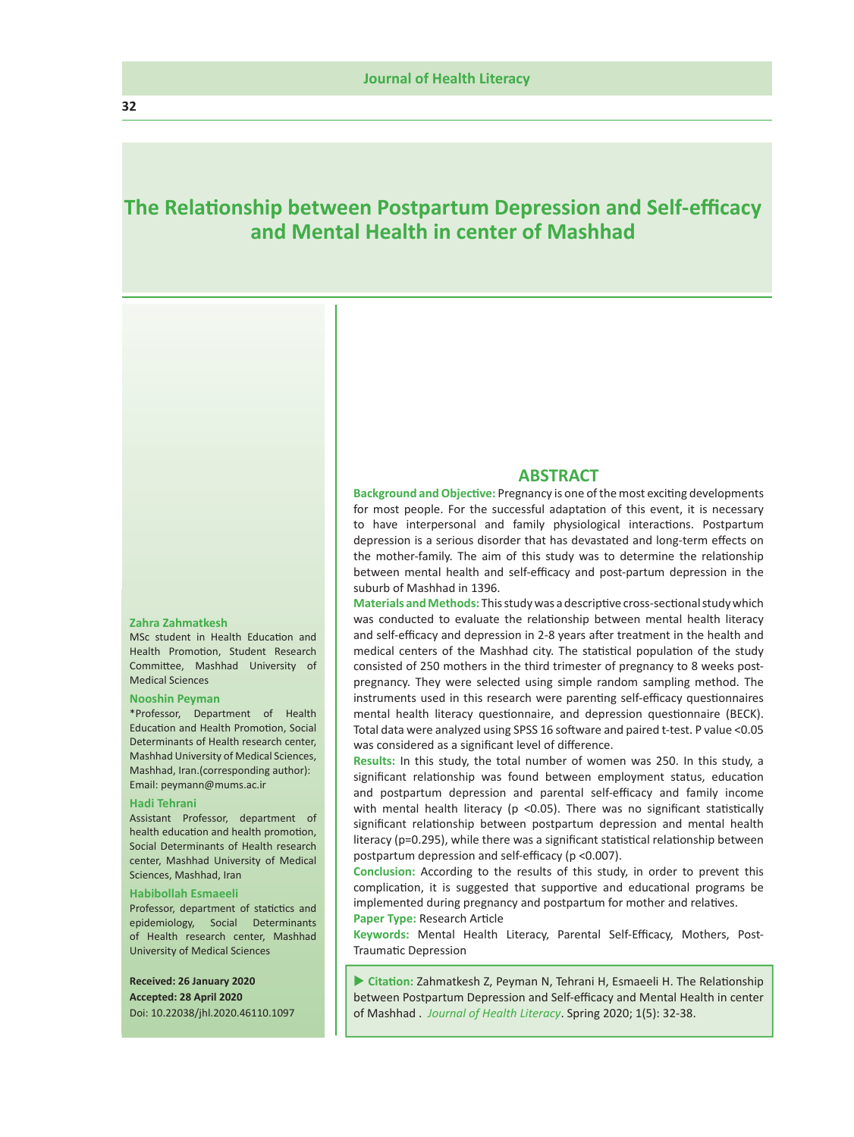# **The Relationship between Postpartum Depression with Self-efficacy and Mental Health Literacy**

#### **Zahra Zahmatkesh**

MSc student in Health Education and Health Promotion, Student Research Committee, Mashhad University of Medical Sciences

#### **Nooshin Peyman**

\*Professor, Department of Health Education and Health Promotion, Social Determinants of Health research center, Mashhad University of Medical Sciences, Mashhad, Iran.(corresponding author): Email: peymann@mums.ac.ir

#### **Hadi Tehrani**

Assistant Professor, department of health education and health promotion, Social Determinants of Health research center, Mashhad University of Medical Sciences, Mashhad, Iran

#### **Habibollah Esmaeeli**

Professor, department of statictics and epidemiology, Social Determinants of Health research center, Mashhad University of Medical Sciences

**Received: 26 January 2020 Accepted: 28 April 2020** Doi: 10.22038/jhl.2020.46110.1097

### **ABSTRACT**

**Background and Objective:** Pregnancy is one of the most exciting developments for most people. For the successful adaptation of this event, it is necessary to have interpersonal and family physiological interactions. Postpartum depression is a serious disorder that has devastated and long-term effects on the mother-family. The aim of this study was to determine the relationship between mental health literacy and self-efficacy and post-partum depression in the suburb of Mashhad in 2018.

**Materials and Methods:** This study was a descriptive cross-sectional study which was conducted to evaluate the relationship between mental health literacy and self-efficacy and depression in 2-8 years after treatment in the health and medical centers of the Mashhad city. The statistical population of the study consisted of 250 mothers in the third trimester of pregnancy to 8 weeks postpregnancy. They were selected using cluster sampling method.

instruments used in this research were parenting self-efficacy questionnaires mental health literacy questionnaire, and depression questionnaire (BECK). Total data were analyzed using SPSS 16 software and paired t-test. P value <0.05 was considered as a significant level of difference.

**Results:** In this study, the total number of women was 250. In this study, a significant relationship was found between employment status, education and postpartum depression and parental self-efficacy and family income with mental health literacy ( $p$  <0.05). There was no significant statistically significant relationship between postpartum depression and mental health literacy (p=0.295), while there was a significant statistical relationship between postpartum depression and self-efficacy (p <0.007).

**Conclusion:** According to the results of this study, in order to prevent this complication, it is suggested that supportive and educational programs be implemented during pregnancy and postpartum for mother and relatives. **Paper Type:** Research Article

**Keywords:** Mental Health Literacy, Parental Self-Efficacy, Mothers, Post-Traumatic Depression

 **Citation:** Zahmatkesh Z, Peyman N, Tehrani H, Esmaeeli H. The Relationship between Postpartum Depression with Self-efficacy and Mental Health. *Journal of Health Literacy*. Spring 2020; 5(1): 32-38.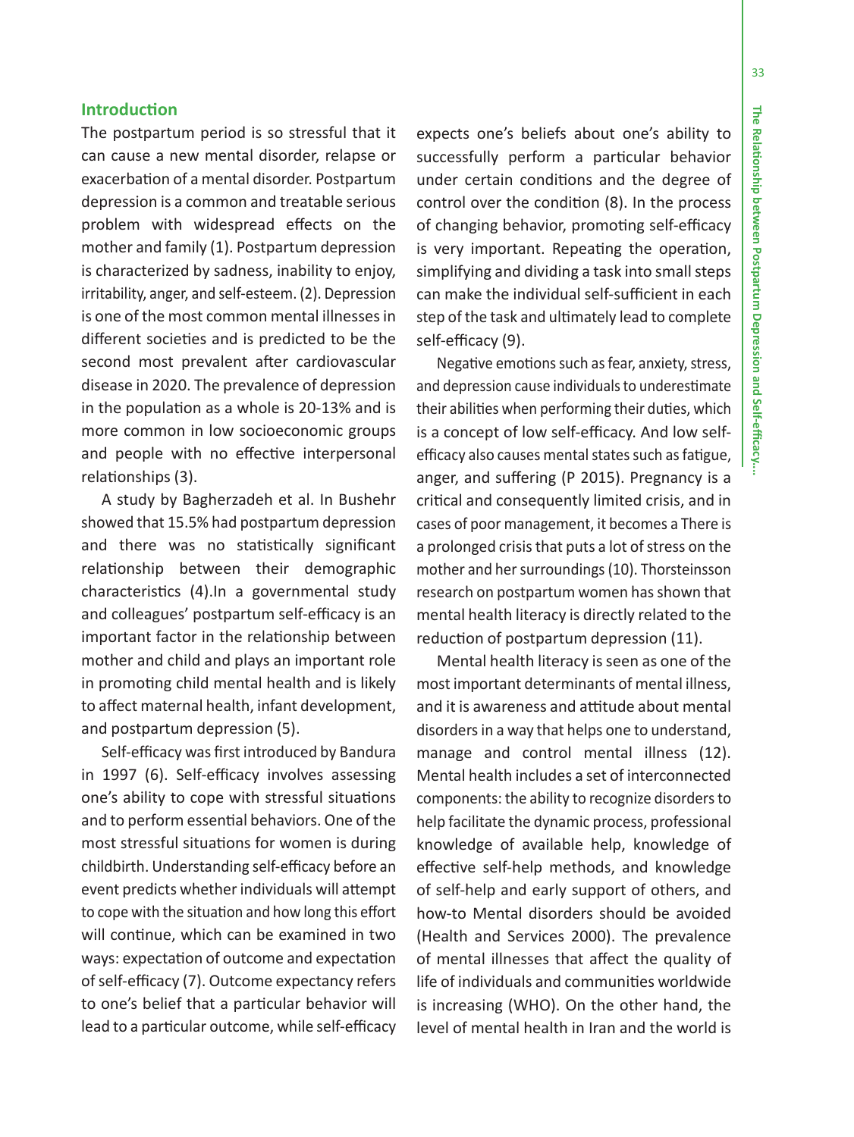33

### **Introduction**

The postpartum period is so stressful that it can cause a new mental disorder, relapse or exacerbation of a mental disorder. Postpartum depression is a common and treatable serious problem with widespread effects on the mother and family (1). Postpartum depression is characterized by sadness, inability to enjoy, irritability, anger, and self-esteem. (2). Depression is one of the most common mental illnesses in different societies and is predicted to be the second most prevalent after cardiovascular disease in 2020. The prevalence of depression in the population as a whole is 20-13% and is more common in low socioeconomic groups and people with no effective interpersonal relationships (3).

A study by Bagherzadeh et al. In Bushehr showed that 15.5% had postpartum depression and there was no statistically significant relationship between their demographic characteristics (4).In a governmental study and colleagues' postpartum self-efficacy is an important factor in the relationship between mother and child and plays an important role in promoting child mental health and is likely to affect maternal health, infant development, and postpartum depression (5).

Self-efficacy was first introduced by Bandura in 1997 (6). Self-efficacy involves assessing one's ability to cope with stressful situations and to perform essential behaviors. One of the most stressful situations for women is during childbirth. Understanding self-efficacy before an event predicts whether individuals will attempt to cope with the situation and how long this effort will continue, which can be examined in two ways: expectation of outcome and expectation of self-efficacy (7). Outcome expectancy refers to one's belief that a particular behavior will lead to a particular outcome, while self-efficacy

expects one's beliefs about one's ability to successfully perform a particular behavior under certain conditions and the degree of control over the condition (8). In the process of changing behavior, promoting self-efficacy is very important. Repeating the operation, simplifying and dividing a task into small steps can make the individual self-sufficient in each step of the task and ultimately lead to complete self-efficacy (9).

Negative emotions such as fear, anxiety, stress, and depression cause individuals to underestimate their abilities when performing their duties, which efficacy also causes mental states such as fatigue, critical and consequently limited crisis, and in cases of poor management, it becomes a There is a prolonged crisis that puts a lot of stress on the mother and her surroundings (10). Thorsteinsson research on postpartum women has shown that mental health literacy is directly related to the reduction of postpartum depression (11). is a concept of low self-efficacy and low selfanger, and suffering (10). Pregnancy is a

Mental health literacy is seen as one of the most important determinants of mental illness, and it is awareness and attitude about mental disorders in a way that helps one to understand, manage and control mental illness (12). Mental health includes a set of interconnected components: the ability to recognize disorders to help facilitate the dynamic process, professional knowledge of available help, knowledge of effective self-help methods, and knowledge of self-help and early support of others, and how-to Mental disorders should be avoided (Health and Services 2000). The prevalence of mental illnesses that affect the quality of life of individuals and communities worldwide is increasing (WHO). On the other hand, the level of mental health in Iran and the world is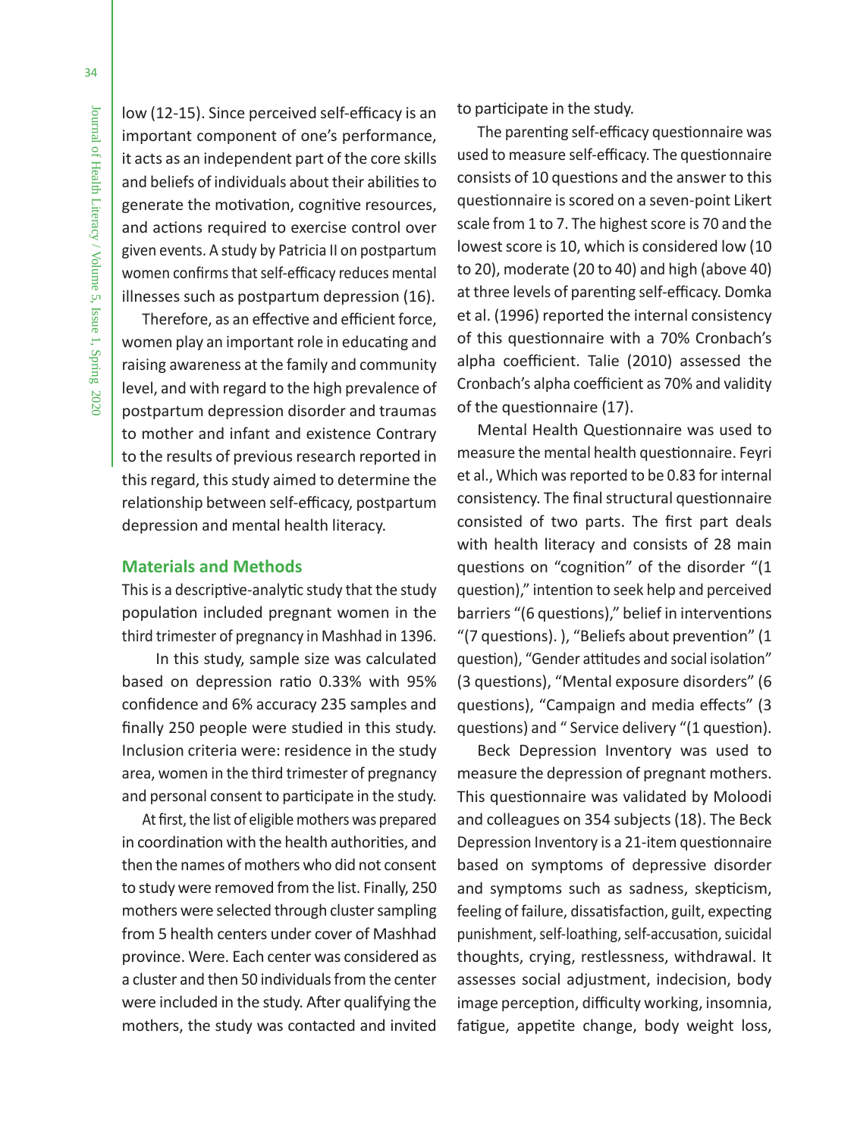low (12-15). Since perceived self-efficacy is an important component of one's performance, it acts as an independent part of the core skills and beliefs of individuals about their abilities to generate the motivation, cognitive resources, and actions required to exercise control over given events. A study by Patricia II on postpartum women confirms that self-efficacy reduces mental illnesses such as postpartum depression (16).

Therefore, as an effective and efficient force, women play an important role in educating and raising awareness at the family and community level, and with regard to the high prevalence of postpartum depression disorder and traumas to mother and infant and existence Contrary to the results of previous research reported in this regard, this study aimed to determine the relationship between self-efficacy, postpartum depression and mental health literacy.

## **Materials and Methods**

This is a descriptive-analytic study that the study population included pregnant women in the third trimester of pregnancy in Mashhad in 1396.

 In this study, sample size was calculated based on depression ratio 0.33% with 95% confidence and 6% accuracy 235 samples and finally 250 people were studied in this study. Inclusion criteria were: residence in the study area, women in the third trimester of pregnancy and personal consent to participate in the study.

At first, the list of eligible mothers was prepared in coordination with the health authorities, and then the names of mothers who did not consent to study were removed from the list. Finally, 250 mothers were selected through cluster sampling from 5 health centers under cover of Mashhad province. Were. Each center was considered as a cluster and then 50 individuals from the center were included in the study. After qualifying the mothers, the study was contacted and invited to participate in the study.

The parenting self-efficacy questionnaire was used to measure self-efficacy. The questionnaire consists of 10 questions and the answer to this questionnaire is scored on a seven-point Likert scale from 1 to 7. The highest score is 70 and the lowest score is 10, which is considered low (10 to 20), moderate (20 to 40) and high (above 40) at three levels of parenting self-efficacy. Domka et al. (1996) reported the internal consistency of this questionnaire with a 70% Cronbach's alpha coefficient. Talie (2010) assessed the Cronbach's alpha coefficient as 70% and validity of the questionnaire (17).

Mental Health Questionnaire was used to measure the mental health questionnaire. Feyri et al., Which was reported to be 0.83 for internal consistency. The final structural questionnaire consisted of two parts. The first part deals with health literacy and consists of 28 main questions on "cognition" of the disorder "(1 question)," intention to seek help and perceived barriers "(6 questions)," belief in interventions "(7 questions). ), "Beliefs about prevention" (1 question), "Gender attitudes and social isolation" (3 questions), "Mental exposure disorders" (6 questions), "Campaign and media effects" (3 questions) and " Service delivery "(1 question).

Beck Depression Inventory was used to measure the depression of pregnant mothers. This questionnaire was validated by Moloodi and colleagues on 354 subjects (18). The Beck Depression Inventory is a 21-item questionnaire based on symptoms of depressive disorder and symptoms such as sadness, skepticism, feeling of failure, dissatisfaction, guilt, expecting punishment, self-loathing, self-accusation, suicidal thoughts, crying, restlessness, withdrawal. It assesses social adjustment, indecision, body image perception, difficulty working, insomnia, fatigue, appetite change, body weight loss,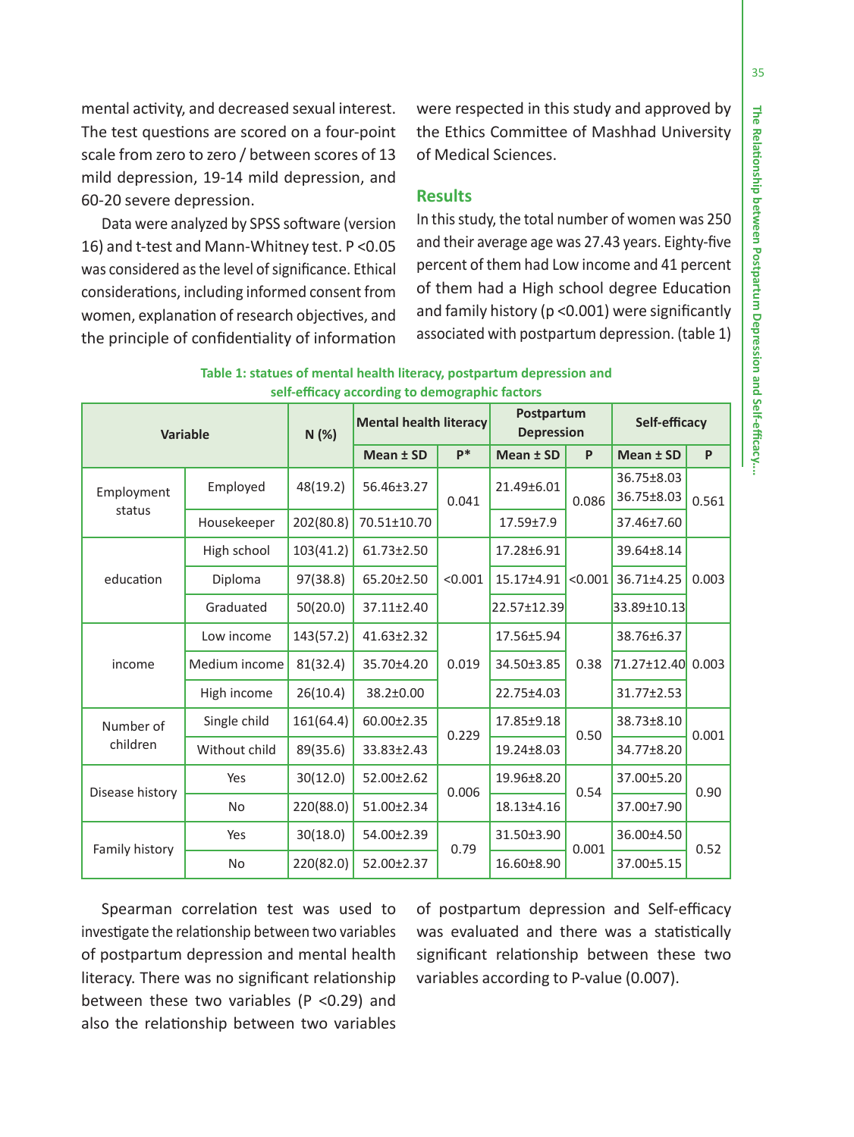mental activity, and decreased sexual interest. The test questions are scored on a four-point scale from zero to zero / between scores of 13 mild depression, 19-14 mild depression, and 60-20 severe depression.

Data were analyzed by SPSS software (version 16) and t-test and Mann-Whitney test. P <0.05 was considered as the level of significance. Ethical considerations, including informed consent from women, explanation of research objectives, and the principle of confidentiality of information were respected in this study and approved by the Ethics Committee of Mashhad University of Medical Sciences.

# **Results**

In this study, the total number of women was 250 and their average age was 27.43 years. Eighty-five percent of them had Low income and 41 percent of them had a High school degree Education and family history (p <0.001) were significantly associated with postpartum depression. (table 1)

| Table 1: statues of mental health literacy, postpartum depression and |                                                |  |  |
|-----------------------------------------------------------------------|------------------------------------------------|--|--|
|                                                                       | self-efficacy according to demographic factors |  |  |

| Variable              |               | <b>Mental health literacy</b><br>N (%) |                  | Postpartum<br><b>Depression</b> |                 | Self-efficacy |                          |       |
|-----------------------|---------------|----------------------------------------|------------------|---------------------------------|-----------------|---------------|--------------------------|-------|
|                       |               |                                        | Mean ± SD        | $P*$                            | Mean ± SD       | P             | Mean ± SD                | P     |
| Employment<br>status  | Employed      | 48(19.2)                               | 56.46±3.27       | 0.041                           | 21.49±6.01      | 0.086         | 36.75±8.03<br>36.75±8.03 | 0.561 |
|                       | Housekeeper   | 202(80.8)                              | 70.51±10.70      |                                 | $17.59 \pm 7.9$ |               | 37.46±7.60               |       |
| education             | High school   | 103(41.2)                              | 61.73±2.50       |                                 | 17.28±6.91      | < 0.001       | 39.64±8.14               | 0.003 |
|                       | Diploma       | 97(38.8)                               | 65.20±2.50       | < 0.001                         | 15.17±4.91      |               | 36.71±4.25               |       |
|                       | Graduated     | 50(20.0)                               | 37.11±2.40       |                                 | 22.57±12.39     |               | 33.89±10.13              |       |
| income                | Low income    | 143(57.2)                              | $41.63 \pm 2.32$ | 0.019                           | 17.56±5.94      | 0.38          | 38.76±6.37               |       |
|                       | Medium income | 81(32.4)                               | 35.70±4.20       |                                 | 34.50±3.85      |               | 71.27±12.40 0.003        |       |
|                       | High income   | 26(10.4)                               | 38.2±0.00        |                                 | 22.75±4.03      |               | 31.77±2.53               |       |
| Number of<br>children | Single child  | 161(64.4)                              | 60.00±2.35       | 0.229                           | 17.85±9.18      | 0.50          | 38.73±8.10               | 0.001 |
|                       | Without child | 89(35.6)                               | 33.83±2.43       |                                 | 19.24±8.03      |               | 34.77±8.20               |       |
| Disease history       | Yes           | 30(12.0)                               | 52.00±2.62       | 0.006                           | 19.96±8.20      | 0.54          | 37.00±5.20               | 0.90  |
|                       | <b>No</b>     | 220(88.0)                              | 51.00±2.34       |                                 | 18.13±4.16      |               | 37.00±7.90               |       |
| Family history        | Yes           | 30(18.0)                               | 54.00±2.39       | 0.79                            | 31.50±3.90      | 0.001         | 36.00±4.50               | 0.52  |
|                       | <b>No</b>     | 220(82.0)                              | 52.00±2.37       |                                 | 16.60±8.90      |               | 37.00±5.15               |       |

Spearman correlation test was used to investigate the relationship between two variables of postpartum depression and mental health literacy. There was no significant relationship between these two variables (P <0.29) and also the relationship between two variables

of postpartum depression and Self-efficacy was evaluated and there was a statistically significant relationship between these two variables according to P-value (0.007).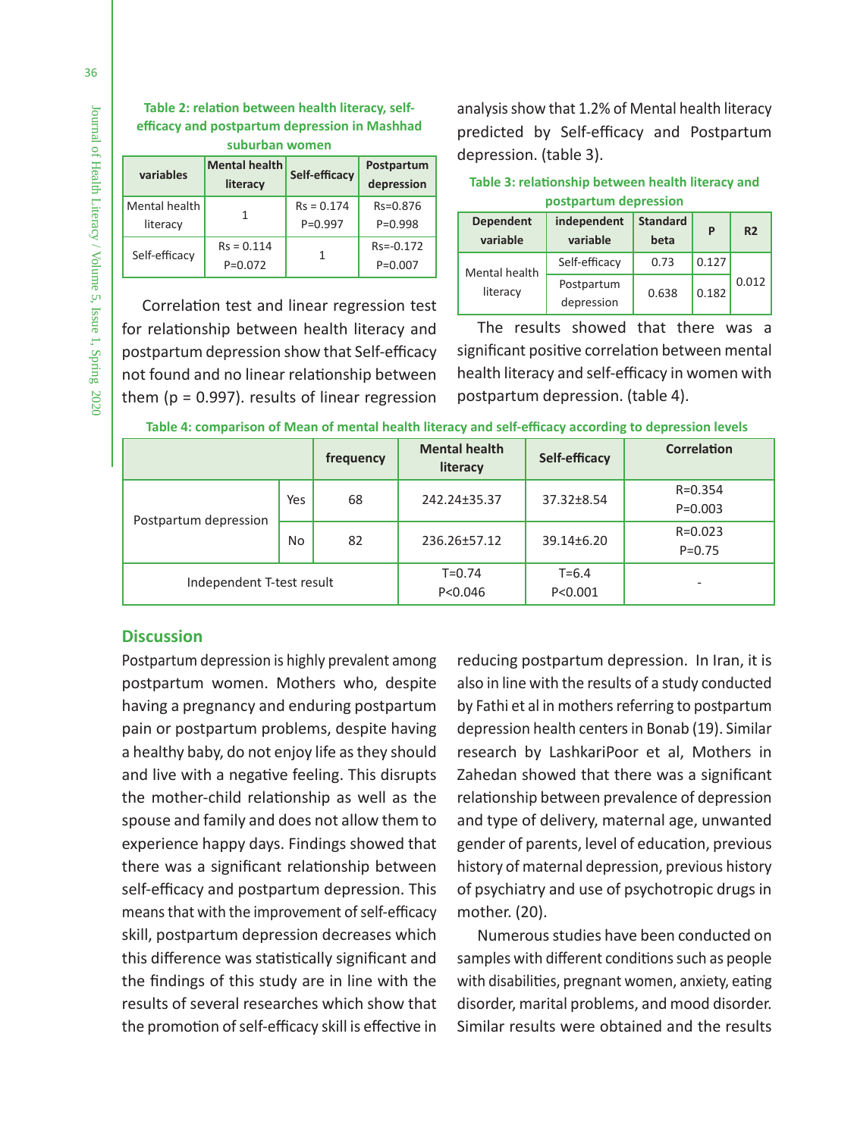| Table 2: relation between mental health literacy. self- |
|---------------------------------------------------------|
| efficacy and postpartum depression in Mashhad           |
| cuburhan woman                                          |

| suburban women            |                                  |                             |                            |  |  |  |
|---------------------------|----------------------------------|-----------------------------|----------------------------|--|--|--|
| variables                 | <b>Mental health</b><br>literacy | Self-efficacy               | Postpartum<br>depression   |  |  |  |
| Mental health<br>literacy |                                  | $Rs = 0.174$<br>$P = 0.997$ | $Rs = 0.876$<br>$P=0.998$  |  |  |  |
| Self-efficacy             | $Rs = 0.114$<br>$P = 0.072$      | 1                           | $Rs = -0.172$<br>$P=0.007$ |  |  |  |

Correlation test and linear regression test for relationship between health literacy and postpartum depression show that Self-efficacy not found and no linear relationship between them ( $p = 0.997$ ). results of linear regression

analysis show that 1.2% of Mental health literacy predicted by Self-efficacy and Postpartum depression. (table 3).

**Table 3: relationship between mental health literacy and** 

| postpartum depression        |                          |                         |                         |                |  |  |
|------------------------------|--------------------------|-------------------------|-------------------------|----------------|--|--|
| <b>Dependent</b><br>variable | independent<br>variable  | <b>Standard</b><br>beta | P                       | R <sub>2</sub> |  |  |
| Mental health<br>literacy    | Self-efficacy            | 0.73                    | 0.127<br>0.012<br>0.182 |                |  |  |
|                              | Postpartum<br>depression | 0.638                   |                         |                |  |  |

The results showed that there was a significant positive correlation between mental health literacy and self-efficacy in women with postpartum depression. (table 4).

|                           |           | frequency               | <b>Mental health</b><br>literacy | Self-efficacy | <b>Correlation</b>        |
|---------------------------|-----------|-------------------------|----------------------------------|---------------|---------------------------|
| Postpartum depression     | Yes       | 68                      | 242.24±35.37                     | 37.32±8.54    | $R = 0.354$<br>$P=0.003$  |
|                           | <b>No</b> | 82                      | 236.26±57.12                     | 39.14±6.20    | $R = 0.023$<br>$P = 0.75$ |
| Independent T-test result |           | $T = 0.74$<br>P < 0.046 | $T = 6.4$<br>P < 0.001           |               |                           |

**Table 4: comparison of Mean of mental health literacy and self-efficacy according to depression levels**

# **Discussion**

Postpartum depression is highly prevalent among postpartum women. Mothers who, despite having a pregnancy and enduring postpartum pain or postpartum problems, despite having a healthy baby, do not enjoy life as they should and live with a negative feeling. This disrupts the mother-child relationship as well as the spouse and family and does not allow them to experience happy days. Findings showed that there was a significant relationship between self-efficacy and postpartum depression. This means that with the improvement of self-efficacy skill, postpartum depression decreases which this difference was statistically significant and the findings of this study are in line with the results of several researches which show that the promotion of self-efficacy skill is effective in

reducing postpartum depression. In Iran, it is also in line with the results of a study conducted by Fathi et al in mothers referring to postpartum depression health centers in Bonab (19). Similar research by LashkariPoor et al, Mothers in Zahedan showed that there was a significant relationship between prevalence of depression and type of delivery, maternal age, unwanted gender of parents, level of education, previous history of maternal depression, previous history of psychiatry and use of psychotropic drugs in mother. (20).

Numerous studies have been conducted on samples with different conditions such as people with disabilities, pregnant women, anxiety, eating disorder, marital problems, and mood disorder. Similar results were obtained and the results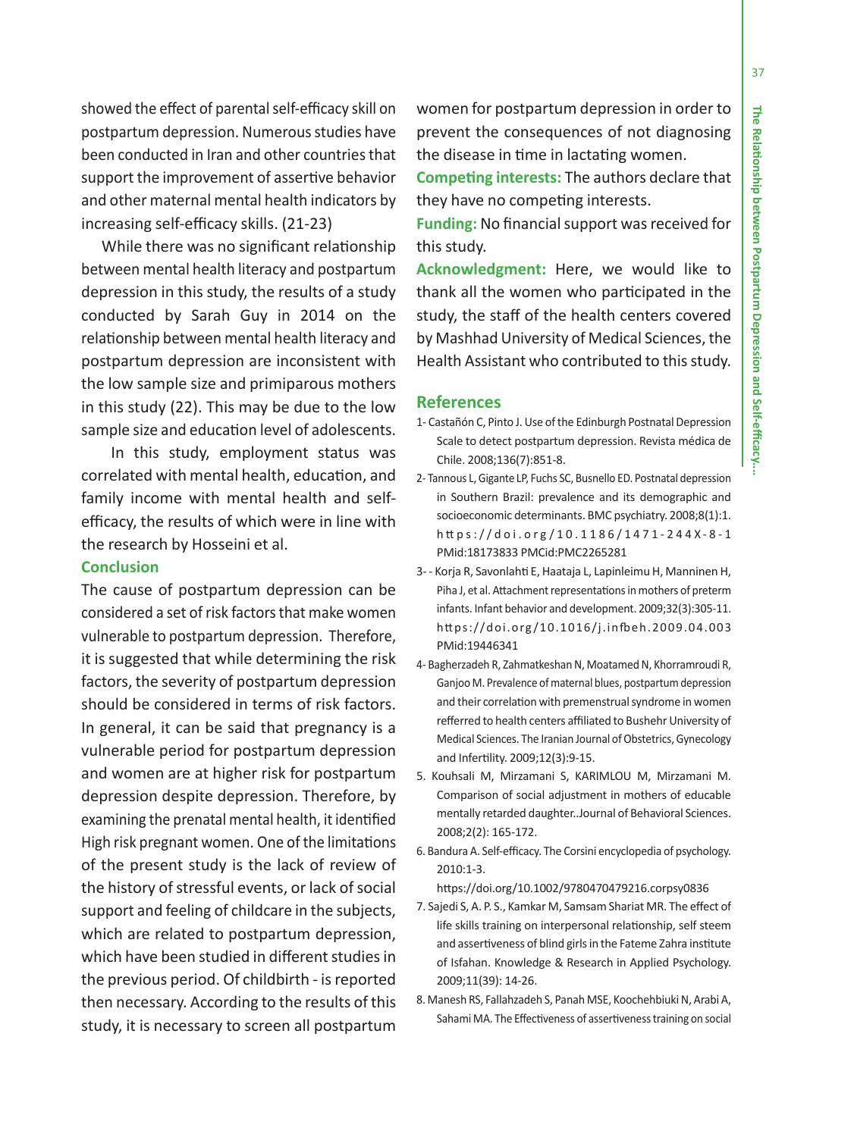showed the effect of parental self-efficacy skill on postpartum depression. Numerous studies have been conducted in Iran and other countries that support the improvement of assertive behavior and other maternal mental health indicators by increasing self-efficacy skills. (21-23)

While there was no significant relationship between mental health literacy and postpartum depression in this study, the results of a study conducted by Sarah Guy in 2014 on the relationship between mental health literacy and postpartum depression are inconsistent with the low sample size and primiparous mothers in this study (22). This may be due to the low sample size and education level of adolescents.

 In this study, employment status was correlated with mental health, education, and family income with mental health and selfefficacy, the results of which were in line with the research by Hosseini et al.

### **Conclusion**

The cause of postpartum depression can be considered a set of risk factors that make women vulnerable to postpartum depression. Therefore, it is suggested that while determining the risk factors, the severity of postpartum depression should be considered in terms of risk factors. In general, it can be said that pregnancy is a vulnerable period for postpartum depression and women are at higher risk for postpartum depression despite depression. Therefore, by examining the prenatal mental health, it identified High risk pregnant women. One of the limitations of the present study is the lack of review of the history of stressful events, or lack of social support and feeling of childcare in the subjects, which are related to postpartum depression, which have been studied in different studies in the previous period. Of childbirth - is reported then necessary. According to the results of this study, it is necessary to screen all postpartum

women for postpartum depression in order to prevent the consequences of not diagnosing the disease in time in lactating women.

**Competing interests:** The authors declare that they have no competing interests.

**Funding:** No financial support was received for this study.

**Acknowledgment:** Here, we would like to thank all the women who participated in the study, the staff of the health centers covered by Mashhad University of Medical Sciences, the Health Assistant who contributed to this study.

### **References**

- 1- Castañón C, Pinto J. Use of the Edinburgh Postnatal Depression Scale to detect postpartum depression. Revista médica de Chile. 2008;136(7):851-8.
- 2- Tannous L, Gigante LP, Fuchs SC, Busnello ED. Postnatal depression in Southern Brazil: prevalence and its demographic and socioeconomic determinants. BMC psychiatry. 2008;8(1):1. h tt ps://doi.org/10.1186/1471-244X-8-1 PMid:18173833 PMCid:PMC2265281
- 3- Korja R, Savonlahti E, Haataja L, Lapinleimu H, Manninen H, Piha J, et al. Attachment representations in mothers of preterm infants. Infant behavior and development. 2009;32(3):305-11. https://doi.org/10.1016/j.infbeh.2009.04.003 PMid:19446341
- 4- Bagherzadeh R, Zahmatkeshan N, Moatamed N, Khorramroudi R, Ganjoo M. Prevalence of maternal blues, postpartum depression and their correlation with premenstrual syndrome in women refferred to health centers affiliated to Bushehr University of Medical Sciences. The Iranian Journal of Obstetrics, Gynecology and Infertility. 2009;12(3):9-15.
- 5. Kouhsali M, Mirzamani S, KARIMLOU M, Mirzamani M. Comparison of social adjustment in mothers of educable mentally retarded daughter..Journal of Behavioral Sciences. 2008;2(2): 165-172.
- 6. Bandura A. Self-efficacy. The Corsini encyclopedia of psychology. 2010:1-3.

https://doi.org/10.1002/9780470479216.corpsy0836

- 7. Sajedi S, A. P. S., Kamkar M, Samsam Shariat MR. The effect of life skills training on interpersonal relationship, self steem and assertiveness of blind girls in the Fateme Zahra institute of Isfahan. Knowledge & Research in Applied Psychology. 2009;11(39): 14-26.
- 8. Manesh RS, Fallahzadeh S, Panah MSE, Koochehbiuki N, Arabi A, Sahami MA. The Effectiveness of assertiveness training on social